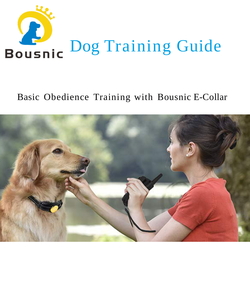

# Basic Obedience Training with Bousnic E-Collar

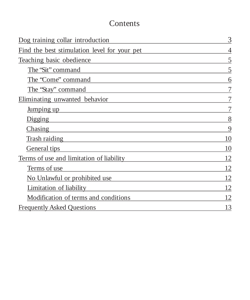### Contents

| Dog training collar introduction             | 3  |
|----------------------------------------------|----|
| Find the best stimulation level for your pet | 4  |
| <b>Teaching basic obedience</b>              | 5  |
| The 'Sit'' command                           | 5  |
| The 'Come'' command                          | 6  |
| The "Stay" command                           | 7  |
| Eliminating unwanted behavior                | 7  |
| <u>Jumping up</u>                            | 7  |
| <u>Digging</u>                               | 8  |
| Chasing                                      | 9  |
| Trash raiding                                | 10 |
| General tips                                 | 10 |
| Terms of use and limitation of liability     | 12 |
| Terms of use                                 | 12 |
| No Unlawful or prohibited use                | 12 |
| Limitation of liability                      | 12 |
| Modification of terms and conditions         | 12 |
| <b>Frequently Asked Ouestions</b>            | 13 |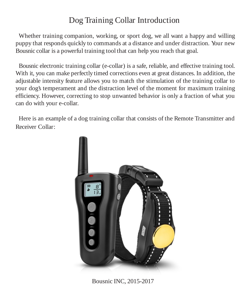## Dog Training Collar Introduction

<span id="page-2-0"></span>Whether training companion, working, or sport dog, we all want a happy and willing puppy that responds quickly to commands at a distance and under distraction. Your new Bousnic collar is a powerful training tool that can help you reach that goal.

Bousnic electronic training collar (e-collar) is a safe, reliable, and effective training tool. With it, you can make perfectly timed corrections even at great distances. In addition, the adjustable intensity feature allows you to match the stimulation of the training collar to your dog's temperament and the distraction level of the moment for maximum training efficiency. However, correcting to stop unwanted behavior is only a fraction of what you can do with your e-collar.

Here is an example of a dog training collar that consists of the Remote Transmitter and Receiver Collar:



Bousnic INC, 2015-2017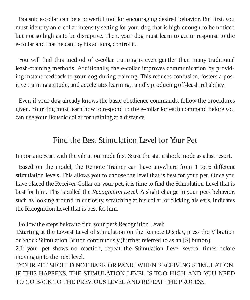<span id="page-3-0"></span>Bousnic e-collar can be a powerful tool for encouraging desired behavior. But first, you must identify an e-collar intensity setting for your dog that is high enough to be noticed but not so high as to be disruptive. Then, your dog must learn to act in response to the e-collar and that he can, by his actions, control it.

You will find this method of e-collar training is even gentler than many traditional leash-training methods. Additionally, the e-collar improves communication by providing instant feedback to your dog during training. This reduces confusion, fosters a positive training attitude, and accelerates learning, rapidly producing off-leash reliability.

Even if your dog already knows the basic obedience commands, follow the procedures given. Your dog must learn how to respond to the e-collar for each command before you can use your Bousnic collar for training at a distance.

### Find the Best Stimulation Level for Your Pet

Important: Start with the vibration mode first & use the static shock mode as a last resort.

Based on the model, the Remote Trainer can have anywhere from 1 to16 different stimulation levels. This allows you to choose the level that is best for your pet. Once you have placed the Receiver Collar on your pet, it istime to find the Stimulation Level that is best for him. This is called the *Recognition Level*. A slight change in your pet's behavior, such as looking around in curiosity, scratching at his collar, or flicking his ears, indicates the Recognition Level that is best for him.

Follow the steps below to find your pet's Recognition Level:

1.Starting at the Lowest Level of stimulation on the Remote Display, press the Vibration or Shock Stimulation Button continuously (further referred to as an [S] button).

2.If your pet shows no reaction, repeat the Stimulation Level several times before moving up to the next level.

3.YOUR PET SHOULD NOT BARK OR PANIC WHEN RECEIVING STIMULATION. IF THIS HAPPENS, THE STIMULATION LEVEL IS TOO HIGH AND YOU NEED TO GO BACK TO THE PREVIOUS LEVEL AND REPEAT THE PROCESS.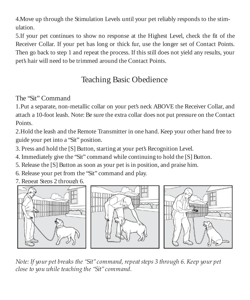<span id="page-4-0"></span>4.Move up through the Stimulation Levels until your pet reliably responds to the stimulation.

5.If your pet continues to show no response at the Highest Level, check the fit of the Receiver Collar. If your pet has long or thick fur, use the longer set of Contact Points. Then go back to step 1 and repeat the process. If this still does not yield any results, your pet's hair will need to be trimmed around the Contact Points.

# Teaching Basic Obedience

### The "Sit" Command

1.Put a separate, non-metallic collar on your pet's neck ABOVE the Receiver Collar, and attach a 10-foot leash. Note: Be sure the extra collar does not put pressure on the Contact Points.

2.Hold the leash and the Remote Transmitter in one hand. Keep your other hand free to guide your pet into a "Sit" position.

3. Press and hold the [S] Button, starting at your pet's Recognition Level.

4. Immediately give the "Sit" command while continuing to hold the [S] Button.

5. Release the [S] Button as soon as your pet is in position, and praise him.

6. Release your pet from the "Sit" command and play.

7. Repeat Steps 2 through 6.



*Note: If your pet breaks the "Sit"command,repeatsteps 3 through 6. Keep your pet close to you while teaching the "Sit"command.*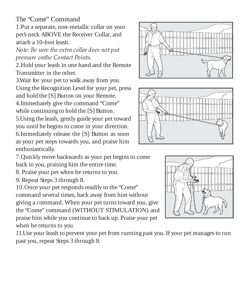<span id="page-5-0"></span>The "Come" Command

1.Put a separate, non-metallic collar on your pet's neck ABOVE the Receiver Collar, and attach a 10-foot leash.

*Note: Be sure the extra collar does not put pressure onthe Contact Points.*

2.Hold your leash in one hand and the Remote Transmitter in the other.

3.Wait for your pet to walk away from you. Using the Recognition Level for your pet, press and hold the [S] Button on your Remote. 4.Immediately give the command "Come"

while continuing to hold the [S] Button.

5.Using the leash, gently guide your pet toward you until he begins to come in your direction.

6.Immediately release the [S] Button as soon as your pet steps towards you, and praise him enthusiastically.

7.Quickly move backwards as your pet beginsto come back to you, praising him the entire time.

8. Praise your pet when he returnsto you.

9. Repeat Steps 3 through 8.

10. Once your pet responds readily to the "Come" command several times, back away from him without giving a command. When your pet turnstoward you, give the "Come" command (WITHOUT STIMULATION) and praise him while you continue to back up. Praise your pet when he returns to you.

11.Use your leash to prevent your pet from running past you. If your pet manages to run past you, repeat Steps 3 through 8.





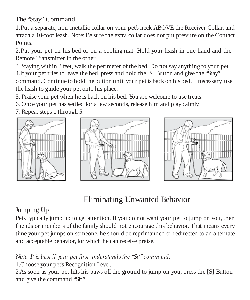<span id="page-6-0"></span>The "Stay" Command

1.Put a separate, non-metallic collar on your pet's neck ABOVE the Receiver Collar, and attach a 10-foot leash. Note: Be sure the extra collar does not put pressure on the Contact Points.

2.Put your pet on his bed or on a cooling mat. Hold your leash in one hand and the Remote Transmitter in the other.

3. Staying within 3 feet, walk the perimeter of the bed. Do not say anything to your pet. 4.If your pet tries to leave the bed, press and hold the [S] Button and give the "Stay" command. Continue to hold the button until your pet is back on his bed.If necessary, use the leash to guide your pet onto his place.

5. Praise your pet when he is back on his bed. You are welcome to use treats.

6.Once your pet has settled for a few seconds, release him and play calmly.

7. Repeat steps 1 through 5.







## Eliminating Unwanted Behavior

#### Jumping Up

Pets typically jump up to get attention. If you do not want your pet to jump on you, then friends or members of the family should not encourage this behavior. That means every time your pet jumps on someone, he should be reprimanded or redirected to an alternate and acceptable behavior, for which he can receive praise.

*Note: It is best if your pet first understandsthe "Sit"command.*

1.Choose your pet's Recognition Level.

2.As soon as your pet lifts his paws off the ground to jump on you, press the [S] Button and give the command "Sit."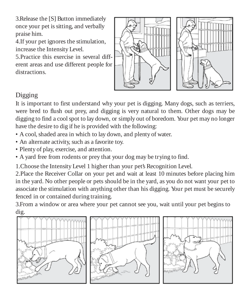<span id="page-7-0"></span>3.Release the [S] Button immediately once your pet is sitting, and verbally praise him.

4.If your pet ignores the stimulation, increase the Intensity Level.

5.Practice this exercise in several different areas and use different people for distractions.



### Digging

It is important to first understand why your pet is digging. Many dogs, such as terriers, were bred to flush out prey, and digging is very natural to them. Other dogs may be digging to find a cool spot to lay down, or simply out of boredom. Your pet may no longer have the desire to dig if he is provided with the following:

- A cool,shaded area in which to lay down, and plenty of water.
- An alternate activity, such as a favorite toy.
- Plenty of play, exercise, and attention.
- A yard free from rodents or prey that your dog may be trying to find.

1.Choose the Intensity Level 1 higher than your pet's Recognition Level.

2.Place the Receiver Collar on your pet and wait at least 10 minutes before placing him in the yard. No other people or pets should be in the yard, as you do not want your pet to associate the stimulation with anything other than his digging. Your pet must be securely fenced in or contained during training.

3.From a window or area where your pet cannot see you, wait until your pet begins to dig.





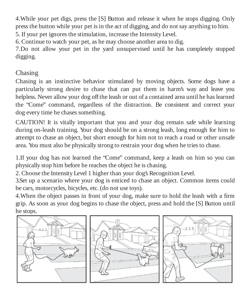<span id="page-8-0"></span>4.While your pet digs, press the [S] Button and release it when he stops digging. Only press the button while your pet is in the act of digging, and do not say anything to him.

5. If your pet ignores the stimulation, increase the Intensity Level.

6. Continue to watch your pet, as he may choose another area to dig.

7.Do not allow your pet in the yard unsupervised until he has completely stopped digging.

#### Chasing

Chasing is an instinctive behavior stimulated by moving objects. Some dogs have a particularly strong desire to chase that can put them in harm's way and leave you helpless. Never allow your dog off the leash or out of a contained area until he has learned the "Come" command, regardless of the distraction. Be consistent and correct your dog every time he chases something.

CAUTION! It is vitally important that you and your dog remain safe while learning during on-leash training. Your dog should be on a strong leash, long enough for him to attempt to chase an object, but short enough for him not to reach a road or other unsafe area. You must also be physically strong to restrain your dog when he tries to chase.

1.If your dog has not learned the "Come" command, keep a leash on him so you can physically stop him before he reaches the object he is chasing.

2. Choose the Intensity Level 1 higher than your dog's Recognition Level.

3.Set up a scenario where your dog is enticed to chase an object. Common items could be cars, motorcycles, bicycles, etc. (do not use toys).

4.When the object passes in front of your dog, make sure to hold the leash with a firm grip. As soon as your dog begins to chase the object, press and hold the [S] Button until he stops.





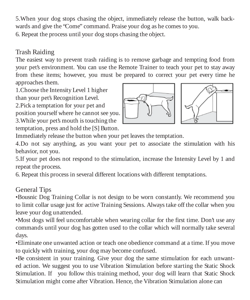<span id="page-9-0"></span>5.When your dog stops chasing the object, immediately release the button, walk backwards and give the "Come" command. Praise your dog as he comes to you.

6. Repeat the process until your dog stops chasing the object.

#### Trash Raiding

The easiest way to prevent trash raiding is to remove garbage and tempting food from your pet's environment. You can use the Remote Trainer to teach your pet to stay away from these items; however, you must be prepared to correct your pet every time he approaches them.

1.Choose the Intensity Level 1 higher than your pet's Recognition Level.

2.Pick a temptation for your pet and position yourself where he cannot see you. 3.While your pet's mouth is touching the temptation, press and hold the [S] Button.





Immediately release the button when your pet leaves the temptation.

4.Do not say anything, as you want your pet to associate the stimulation with his behavior, not you.

5.If your pet does not respond to the stimulation, increase the Intensity Level by 1 and repeat the process.

6. Repeat this process in several different locations with different temptations.

#### General Tips

•Bousnic Dog Training Collar is not design to be worn constantly. We recommend you to limit collar usage just for active Training Sessions. Always take off the collar when you leave your dog unattended.

•Most dogs will feel uncomfortable when wearing collar for the first time. Don't use any commands until your dog has gotten used to the collar which will normally take several days.

•Eliminate one unwanted action or teach one obedience command at a time. If you move to quickly with training, your dog may become confused.

•Be consistent in your training. Give your dog the same stimulation for each unwanted action. We suggest you to use Vibration Stimulation before starting the Static Shock Stimulation. If you follow this training method, your dog will learn that Static Shock Stimulation might come after Vibration. Hence, the Vibration Stimulation alone can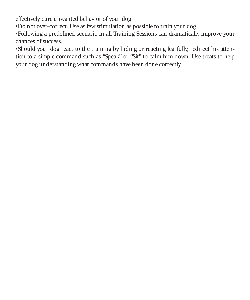effectively cure unwanted behavior of your dog.

•Do not over-correct. Use as few stimulation as possible to train your dog.

•Following a predefined scenario in all Training Sessions can dramatically improve your chances of success.

•Should your dog react to the training by hiding or reacting fearfully, redirect his attention to a simple command such as "Speak" or "Sit" to calm him down. Use treats to help your dog understanding what commands have been done correctly.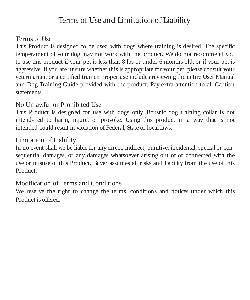### Terms of Use and Limitation of Liability

#### <span id="page-11-0"></span>Terms of Use

This Product is designed to be used with dogs where training is desired. The specific temperament of your dog may not work with the product. We do not recommend you to use this product if your pet is less than 8 lbs or under 6 months old, or if your pet is aggressive. If you are unsure whether this is appropriate for your pet, please consult your veterinarian, or a certified trainer. Proper use includes reviewing the entire User Manual and Dog Training Guide provided with the product. Pay extra attention to all Caution statements.

#### No Unlawful or Prohibited Use

This Product is designed for use with dogs only. Bousnic dog training collar is not intend- ed to harm, injure, or provoke. Using this product in a way that is not intended could result in violation of Federal, State or local laws.

#### Limitation of Liability

In no event shall we be liable for any direct, indirect, punitive, incidental, special or consequential damages, or any damages whatsoever arising out of or connected with the use or misuse of this Product. Buyer assumes all risks and liability from the use of this Product.

#### Modification of Terms and Conditions

We reserve the right to change the terms, conditions and notices under which this Product is offered.